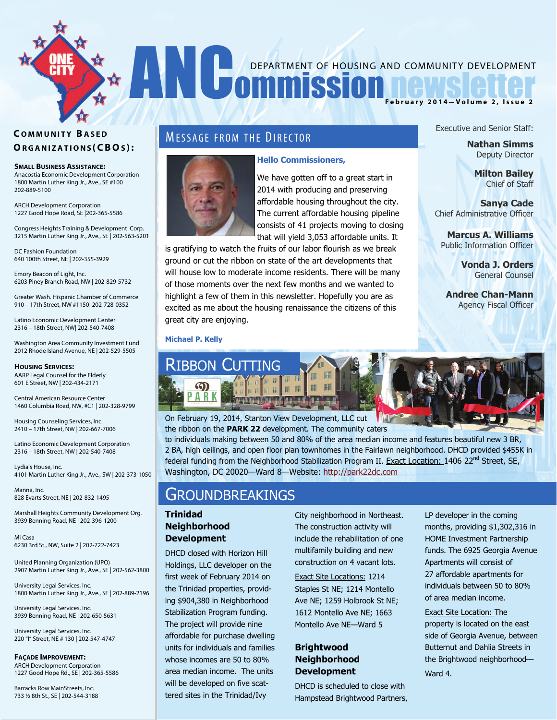# DEPARTMENT OF HOUSING AND COMMUNITY DEVELOPMENT DEPARTMENT OF HOUSING AND COMMUNITY DEVELOPMENT **February 2014—Volume 2, Issue 2**

#### **C OMMUNITY B ASED O RGANIZATIONS (CBO S ) :**

**SMALL BUSINESS ASSISTANCE:** 

Anacostia Economic Development Corporation 1800 Martin Luther King Jr., Ave., SE #100 202-889-5100

ARCH Development Corporation 1227 Good Hope Road, SE |202-365-5586

Congress Heights Training & Development Corp. 3215 Martin Luther King Jr., Ave., SE | 202-563-5201

DC Fashion Foundation 640 100th Street, NE | 202-355-3929

Emory Beacon of Light, Inc. 6203 Piney Branch Road, NW | 202-829-5732

Greater Wash. Hispanic Chamber of Commerce 910 – 17th Street, NW #1150| 202-728-0352

Latino Economic Development Center 2316 – 18th Street, NW| 202-540-7408

Washington Area Community Investment Fund 2012 Rhode Island Avenue, NE | 202-529-5505

**HOUSING SERVICES:**  AARP Legal Counsel for the Elderly 601 E Street, NW | 202-434-2171

Central American Resource Center 1460 Columbia Road, NW, #C1 | 202-328-9799

Housing Counseling Services, Inc. 2410 – 17th Street, NW | 202-667-7006

Latino Economic Development Corporation 2316 – 18th Street, NW | 202-540-7408

Lydia's House, Inc. 4101 Martin Luther King Jr., Ave., SW | 202-373-1050

Manna, Inc. 828 Evarts Street, NE | 202-832-1495

Marshall Heights Community Development Org. 3939 Benning Road, NE | 202-396-1200

Mi Casa 6230 3rd St., NW, Suite 2 | 202-722-7423

United Planning Organization (UPO) 2907 Martin Luther King Jr., Ave., SE | 202-562-3800

University Legal Services, Inc. 1800 Martin Luther King Jr., Ave., SE | 202-889-2196

University Legal Services, Inc. 3939 Benning Road, NE | 202-650-5631

University Legal Services, Inc. 220 "I" Street, NE # 130 | 202-547-4747

**FAÇADE IMPROVEMENT:** 

ARCH Development Corporation 1227 Good Hope Rd., SE | 202-365-5586

Barracks Row MainStreets, Inc. 733 ½ 8th St., SE | 202-544-3188

### **MESSAGE FROM THE DIRECTOR**



#### **Hello Commissioners,**

We have gotten off to a great start in 2014 with producing and preserving affordable housing throughout the city. The current affordable housing pipeline consists of 41 projects moving to closing that will yield 3,053 affordable units. It

is gratifying to watch the fruits of our labor flourish as we break ground or cut the ribbon on state of the art developments that will house low to moderate income residents. There will be many of those moments over the next few months and we wanted to highlight a few of them in this newsletter. Hopefully you are as excited as me about the housing renaissance the citizens of this great city are enjoying.

Executive and Senior Staff:

**Nathan Simms** Deputy Director

> **Milton Bailey** Chief of Staff

**Sanya Cade**  Chief Administrative Officer

**Marcus A. Williams** Public Information Officer

> **Vonda J. Orders** General Counsel

**Andree Chan-Mann** Agency Fiscal Officer

#### **Michael P. Kelly**



On February 19, 2014, Stanton View Development, LLC cut the ribbon on the **PARK 22** development. The community caters

to individuals making between 50 and 80% of the area median income and features beautiful new 3 BR, 2 BA, high ceilings, and open floor plan townhomes in the Fairlawn neighborhood. DHCD provided \$455K in federal funding from the Neighborhood Stabilization Program II. Exact Location: 1406 22<sup>nd</sup> Street, SE, Washington, DC 20020—Ward 8—Website: [http://park22dc.com](http://park22dc.com/)

## **GROUNDBREAKINGS**

#### **Trinidad Neighborhood Development**

DHCD closed with Horizon Hill Holdings, LLC developer on the first week of February 2014 on the Trinidad properties, providing \$904,380 in Neighborhood Stabilization Program funding. The project will provide nine affordable for purchase dwelling units for individuals and families whose incomes are 50 to 80% area median income. The units will be developed on five scattered sites in the Trinidad/Ivy

City neighborhood in Northeast. The construction activity will include the rehabilitation of one multifamily building and new construction on 4 vacant lots.

Exact Site Locations: 1214 Staples St NE; 1214 Montello Ave NE; 1259 Holbrook St NE; 1612 Montello Ave NE; 1663 Montello Ave NE—Ward 5

#### **Brightwood Neighborhood Development**

DHCD is scheduled to close with Hampstead Brightwood Partners, LP developer in the coming months, providing \$1,302,316 in HOME Investment Partnership funds. The 6925 Georgia Avenue Apartments will consist of 27 affordable apartments for individuals between 50 to 80% of area median income.

Exact Site Location: The property is located on the east side of Georgia Avenue, between Butternut and Dahlia Streets in the Brightwood neighborhood— Ward 4.